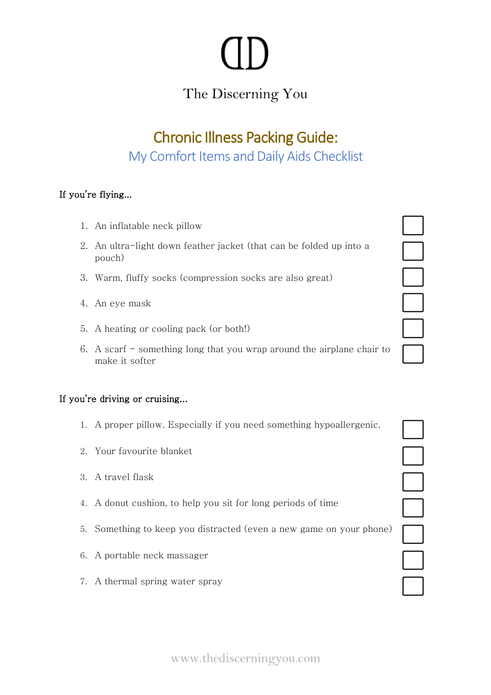# The Discerning You

# Chronic Illness Packing Guide: My Comfort Items and Daily Aids Checklist

## If you're flying...

- 1. An inflatable neck pillow
- 2. An ultra-light down feather jacket (that can be folded up into a pouch)
- 3. Warm, fluffy socks (compression socks are also great)
- 4. An eye mask
- 5. A heating or cooling pack (or both!)
- 6. A scarf something long that you wrap around the airplane chair to make it softer

### If you're driving or cruising...

- 1. A proper pillow. Especially if you need something hypoallergenic.
- 2. Your favourite blanket
- 3. A travel flask
- 4. A donut cushion, to help you sit for long periods of time
- 5. Something to keep you distracted (even a new game on your phone)
- 6. A portable neck massager
- 7. A thermal spring water spray

| $\overline{a}$ |
|----------------|
|                |
|                |
|                |
|                |

 $\Box$ 

www.thediscerningyou.com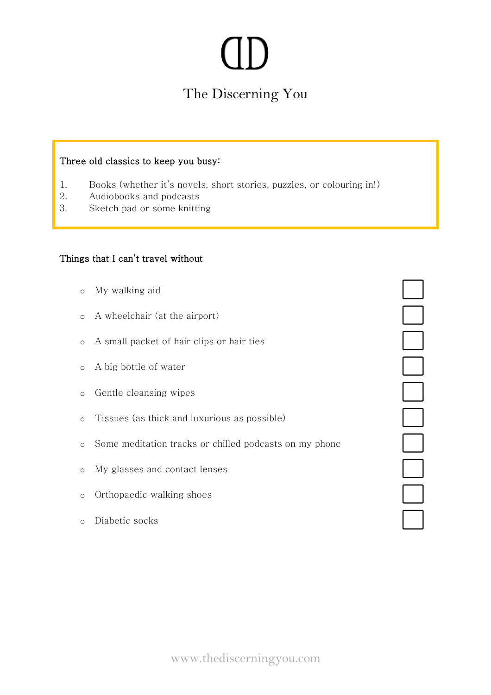# The Discerning You

#### Three old classics to keep you busy:

- 1. Books (whether it's novels, short stories, puzzles, or colouring in!)
- 2. Audiobooks and podcasts
- 3. Sketch pad or some knitting

#### Things that I can't travel without

- o My walking aid
- o A wheelchair (at the airport)
- o A small packet of hair clips or hair ties
- o A big bottle of water
- o Gentle cleansing wipes
- o Tissues (as thick and luxurious as possible)
- o Some meditation tracks or chilled podcasts on my phone

- o My glasses and contact lenses
- o Orthopaedic walking shoes
- o Diabetic socks